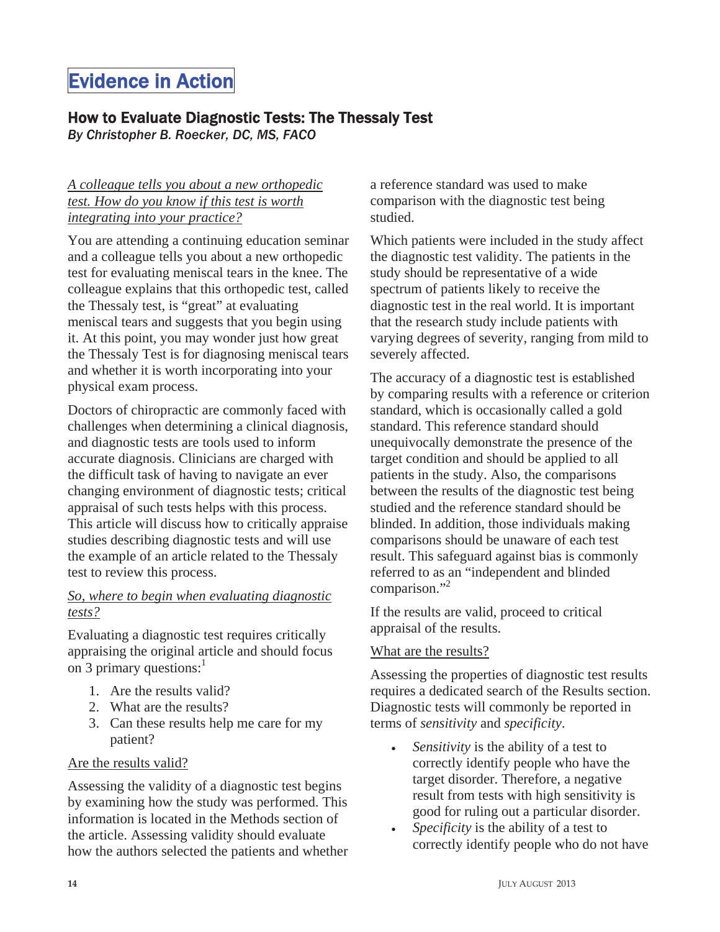# Evidence in Action

## How to Evaluate Diagnostic Tests: The Thessaly Test

*By Christopher B. Roecker, DC, MS, FACO* 

#### *A colleague tells you about a new orthopedic test. How do you know if this test is worth integrating into your practice?*

You are attending a continuing education seminar and a colleague tells you about a new orthopedic test for evaluating meniscal tears in the knee. The colleague explains that this orthopedic test, called the Thessaly test, is "great" at evaluating meniscal tears and suggests that you begin using it. At this point, you may wonder just how great the Thessaly Test is for diagnosing meniscal tears and whether it is worth incorporating into your physical exam process.

Doctors of chiropractic are commonly faced with challenges when determining a clinical diagnosis, and diagnostic tests are tools used to inform accurate diagnosis. Clinicians are charged with the difficult task of having to navigate an ever changing environment of diagnostic tests; critical appraisal of such tests helps with this process. This article will discuss how to critically appraise studies describing diagnostic tests and will use the example of an article related to the Thessaly test to review this process.

#### *So, where to begin when evaluating diagnostic tests?*

Evaluating a diagnostic test requires critically appraising the original article and should focus on 3 primary questions: $<sup>1</sup>$ </sup>

- 1. Are the results valid?
- 2. What are the results?
- 3. Can these results help me care for my patient?

#### Are the results valid?

Assessing the validity of a diagnostic test begins by examining how the study was performed. This information is located in the Methods section of the article. Assessing validity should evaluate how the authors selected the patients and whether a reference standard was used to make comparison with the diagnostic test being studied.

Which patients were included in the study affect the diagnostic test validity. The patients in the study should be representative of a wide spectrum of patients likely to receive the diagnostic test in the real world. It is important that the research study include patients with varying degrees of severity, ranging from mild to severely affected.

The accuracy of a diagnostic test is established by comparing results with a reference or criterion standard, which is occasionally called a gold standard. This reference standard should unequivocally demonstrate the presence of the target condition and should be applied to all patients in the study. Also, the comparisons between the results of the diagnostic test being studied and the reference standard should be blinded. In addition, those individuals making comparisons should be unaware of each test result. This safeguard against bias is commonly referred to as an "independent and blinded comparison."<sup>2</sup>

If the results are valid, proceed to critical appraisal of the results.

#### What are the results?

Assessing the properties of diagnostic test results requires a dedicated search of the Results section. Diagnostic tests will commonly be reported in terms of *sensitivity* and *specificity*.

- *Sensitivity* is the ability of a test to correctly identify people who have the target disorder. Therefore, a negative result from tests with high sensitivity is good for ruling out a particular disorder.
- <sup>x</sup> *Specificity* is the ability of a test to correctly identify people who do not have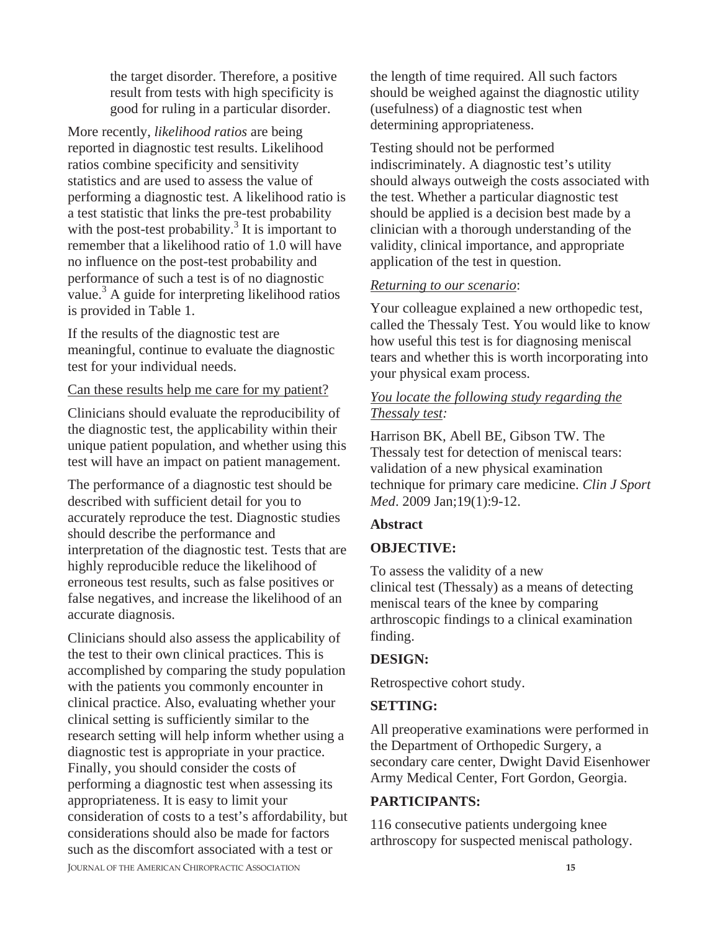the target disorder. Therefore, a positive result from tests with high specificity is good for ruling in a particular disorder.

More recently, *likelihood ratios* are being reported in diagnostic test results. Likelihood ratios combine specificity and sensitivity statistics and are used to assess the value of performing a diagnostic test. A likelihood ratio is a test statistic that links the pre-test probability with the post-test probability.<sup>3</sup> It is important to remember that a likelihood ratio of 1.0 will have no influence on the post-test probability and performance of such a test is of no diagnostic value.<sup>3</sup> A guide for interpreting likelihood ratios is provided in Table 1.

If the results of the diagnostic test are meaningful, continue to evaluate the diagnostic test for your individual needs.

#### Can these results help me care for my patient?

Clinicians should evaluate the reproducibility of the diagnostic test, the applicability within their unique patient population, and whether using this test will have an impact on patient management.

The performance of a diagnostic test should be described with sufficient detail for you to accurately reproduce the test. Diagnostic studies should describe the performance and interpretation of the diagnostic test. Tests that are highly reproducible reduce the likelihood of erroneous test results, such as false positives or false negatives, and increase the likelihood of an accurate diagnosis.

Clinicians should also assess the applicability of the test to their own clinical practices. This is accomplished by comparing the study population with the patients you commonly encounter in clinical practice. Also, evaluating whether your clinical setting is sufficiently similar to the research setting will help inform whether using a diagnostic test is appropriate in your practice. Finally, you should consider the costs of performing a diagnostic test when assessing its appropriateness. It is easy to limit your consideration of costs to a test's affordability, but considerations should also be made for factors such as the discomfort associated with a test or

the length of time required. All such factors should be weighed against the diagnostic utility (usefulness) of a diagnostic test when determining appropriateness.

Testing should not be performed indiscriminately. A diagnostic test's utility should always outweigh the costs associated with the test. Whether a particular diagnostic test should be applied is a decision best made by a clinician with a thorough understanding of the validity, clinical importance, and appropriate application of the test in question.

#### *Returning to our scenario*:

Your colleague explained a new orthopedic test, called the Thessaly Test. You would like to know how useful this test is for diagnosing meniscal tears and whether this is worth incorporating into your physical exam process.

#### *You locate the following study regarding the Thessaly test:*

Harrison BK, Abell BE, Gibson TW. The Thessaly test for detection of meniscal tears: validation of a new physical examination technique for primary care medicine. *Clin J Sport Med*. 2009 Jan;19(1):9-12.

#### **Abstract**

#### **OBJECTIVE:**

To assess the validity of a new clinical test (Thessaly) as a means of detecting meniscal tears of the knee by comparing arthroscopic findings to a clinical examination finding.

#### **DESIGN:**

Retrospective cohort study.

#### **SETTING:**

All preoperative examinations were performed in the Department of Orthopedic Surgery, a secondary care center, Dwight David Eisenhower Army Medical Center, Fort Gordon, Georgia.

#### **PARTICIPANTS:**

116 consecutive patients undergoing knee arthroscopy for suspected meniscal pathology.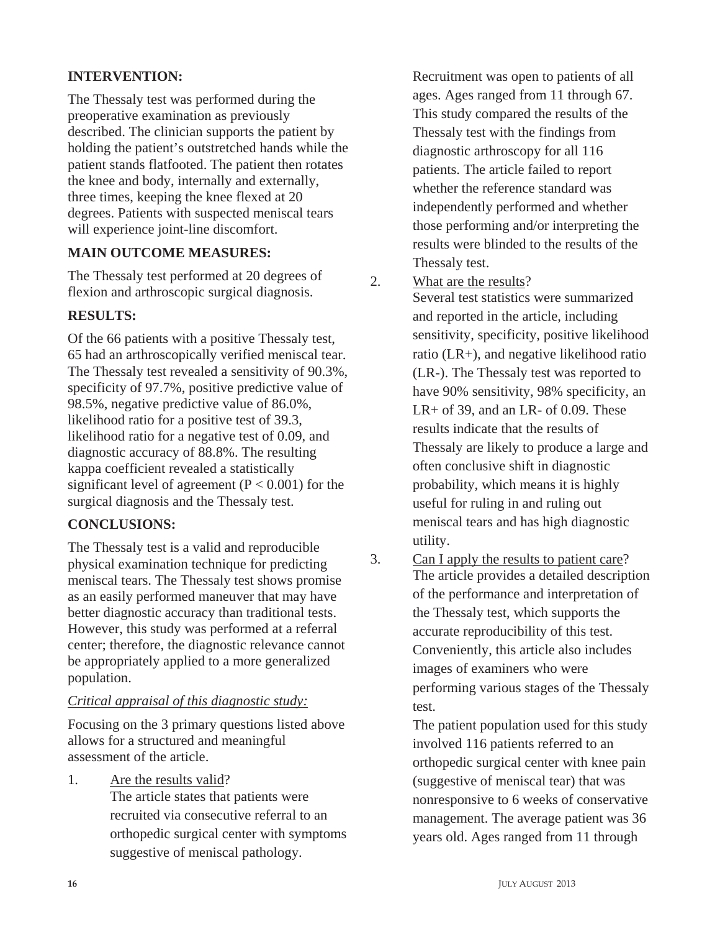#### **INTERVENTION:**

The Thessaly test was performed during the preoperative examination as previously described. The clinician supports the patient by holding the patient's outstretched hands while the patient stands flatfooted. The patient then rotates the knee and body, internally and externally, three times, keeping the knee flexed at 20 degrees. Patients with suspected meniscal tears will experience joint-line discomfort.

#### **MAIN OUTCOME MEASURES:**

The Thessaly test performed at 20 degrees of flexion and arthroscopic surgical diagnosis.

#### **RESULTS:**

Of the 66 patients with a positive Thessaly test, 65 had an arthroscopically verified meniscal tear. The Thessaly test revealed a sensitivity of 90.3%, specificity of 97.7%, positive predictive value of 98.5%, negative predictive value of 86.0%, likelihood ratio for a positive test of 39.3, likelihood ratio for a negative test of 0.09, and diagnostic accuracy of 88.8%. The resulting kappa coefficient revealed a statistically significant level of agreement ( $P < 0.001$ ) for the surgical diagnosis and the Thessaly test.

### **CONCLUSIONS:**

The Thessaly test is a valid and reproducible physical examination technique for predicting meniscal tears. The Thessaly test shows promise as an easily performed maneuver that may have better diagnostic accuracy than traditional tests. However, this study was performed at a referral center; therefore, the diagnostic relevance cannot be appropriately applied to a more generalized population.

#### *Critical appraisal of this diagnostic study:*

Focusing on the 3 primary questions listed above allows for a structured and meaningful assessment of the article.

1. Are the results valid?

The article states that patients were recruited via consecutive referral to an orthopedic surgical center with symptoms suggestive of meniscal pathology.

Recruitment was open to patients of all ages. Ages ranged from 11 through 67. This study compared the results of the Thessaly test with the findings from diagnostic arthroscopy for all 116 patients. The article failed to report whether the reference standard was independently performed and whether those performing and/or interpreting the results were blinded to the results of the Thessaly test.

2. What are the results?

Several test statistics were summarized and reported in the article, including sensitivity, specificity, positive likelihood ratio (LR+), and negative likelihood ratio (LR-). The Thessaly test was reported to have 90% sensitivity, 98% specificity, an  $LR+$  of 39, and an  $LR-$  of 0.09. These results indicate that the results of Thessaly are likely to produce a large and often conclusive shift in diagnostic probability, which means it is highly useful for ruling in and ruling out meniscal tears and has high diagnostic utility.

3. Can I apply the results to patient care? The article provides a detailed description of the performance and interpretation of the Thessaly test, which supports the accurate reproducibility of this test. Conveniently, this article also includes images of examiners who were performing various stages of the Thessaly test.

> The patient population used for this study involved 116 patients referred to an orthopedic surgical center with knee pain (suggestive of meniscal tear) that was nonresponsive to 6 weeks of conservative management. The average patient was 36 years old. Ages ranged from 11 through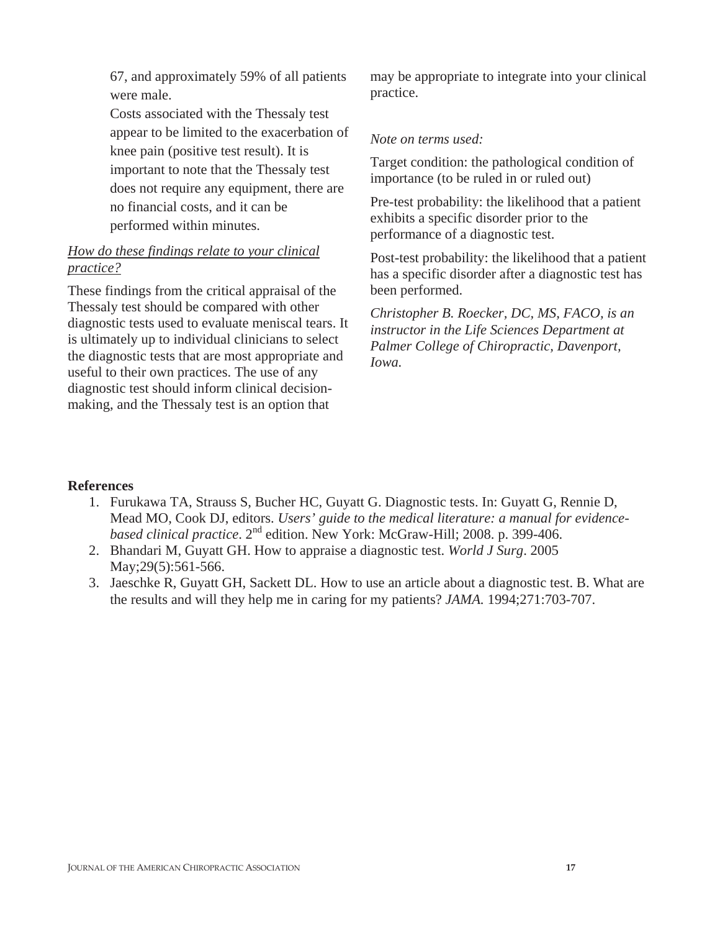67, and approximately 59% of all patients were male.

Costs associated with the Thessaly test appear to be limited to the exacerbation of knee pain (positive test result). It is important to note that the Thessaly test does not require any equipment, there are no financial costs, and it can be performed within minutes.

#### *How do these findings relate to your clinical practice?*

These findings from the critical appraisal of the Thessaly test should be compared with other diagnostic tests used to evaluate meniscal tears. It is ultimately up to individual clinicians to select the diagnostic tests that are most appropriate and useful to their own practices. The use of any diagnostic test should inform clinical decisionmaking, and the Thessaly test is an option that

may be appropriate to integrate into your clinical practice.

#### *Note on terms used:*

Target condition: the pathological condition of importance (to be ruled in or ruled out)

Pre-test probability: the likelihood that a patient exhibits a specific disorder prior to the performance of a diagnostic test.

Post-test probability: the likelihood that a patient has a specific disorder after a diagnostic test has been performed.

*Christopher B. Roecker, DC, MS, FACO, is an instructor in the Life Sciences Department at Palmer College of Chiropractic, Davenport, Iowa.*

#### **References**

- 1. Furukawa TA, Strauss S, Bucher HC, Guyatt G. Diagnostic tests. In: Guyatt G, Rennie D, Mead MO, Cook DJ, editors. *Users' guide to the medical literature: a manual for evidencebased clinical practice*. 2nd edition. New York: McGraw-Hill; 2008. p. 399-406.
- 2. Bhandari M, Guyatt GH. How to appraise a diagnostic test. *World J Surg*. 2005 May; 29(5): 561-566.
- 3. Jaeschke R, Guyatt GH, Sackett DL. How to use an article about a diagnostic test. B. What are the results and will they help me in caring for my patients? *JAMA.* 1994;271:703-707.